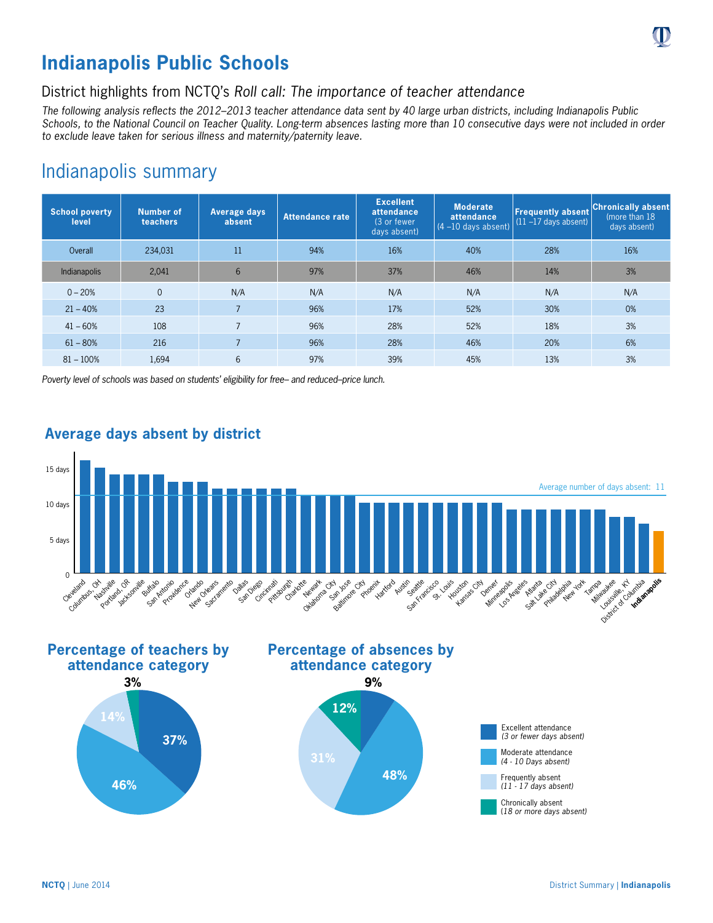# **Indianapolis Public Schools**

## District highlights from NCTQ's *Roll call: The importance of teacher attendance*

*The following analysis reflects the 2012–2013 teacher attendance data sent by 40 large urban districts, including Indianapolis Public Schools, to the National Council on Teacher Quality. Long-term absences lasting more than 10 consecutive days were not included in order to exclude leave taken for serious illness and maternity/paternity leave.*

## Indianapolis summary

| <b>School poverty</b><br>level | <b>Number of</b><br>teachers | Average days<br>absent | Attendance rate | <b>Excellent</b><br>attendance<br>(3 or fewer)<br>days absent) | <b>Moderate</b><br>attendance<br>$(4 - 10$ days absent) | <b>Frequently absent</b><br>$(11 - 17$ days absent) | <b>Chronically absent</b><br>(more than 18)<br>days absent) |
|--------------------------------|------------------------------|------------------------|-----------------|----------------------------------------------------------------|---------------------------------------------------------|-----------------------------------------------------|-------------------------------------------------------------|
| Overall                        | 234,031                      | 11                     | 94%             | 16%                                                            | 40%                                                     | 28%                                                 | 16%                                                         |
| Indianapolis                   | 2.041                        | 6                      | 97%             | 37%                                                            | 46%                                                     | 14%                                                 | 3%                                                          |
| $0 - 20%$                      | $\overline{0}$               | N/A                    | N/A             | N/A                                                            | N/A                                                     | N/A                                                 | N/A                                                         |
| $21 - 40%$                     | 23                           | $\overline{7}$         | 96%             | 17%                                                            | 52%                                                     | 30%                                                 | 0%                                                          |
| $41 - 60%$                     | 108                          | $\overline{7}$         | 96%             | 28%                                                            | 52%                                                     | 18%                                                 | 3%                                                          |
| $61 - 80%$                     | 216                          | $\overline{7}$         | 96%             | 28%                                                            | 46%                                                     | 20%                                                 | 6%                                                          |
| $81 - 100%$                    | 1.694                        | 6                      | 97%             | 39%                                                            | 45%                                                     | 13%                                                 | 3%                                                          |

*Poverty level of schools was based on students' eligibility for free– and reduced–price lunch.*



### **Average days absent by district**











(*18 or more days absent)*